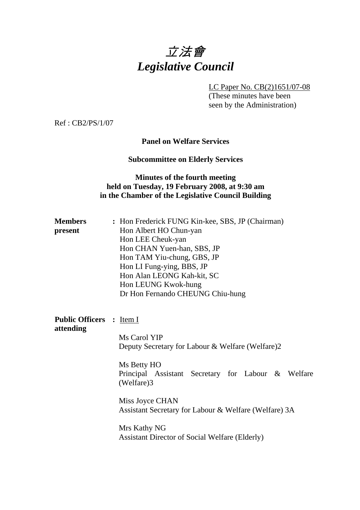# 立法會 *Legislative Council*

LC Paper No. CB(2)1651/07-08

 (These minutes have been seen by the Administration)

Ref : CB2/PS/1/07

## **Panel on Welfare Services**

# **Subcommittee on Elderly Services**

# **Minutes of the fourth meeting held on Tuesday, 19 February 2008, at 9:30 am in the Chamber of the Legislative Council Building**

| <b>Members</b><br>present                    | : Hon Frederick FUNG Kin-kee, SBS, JP (Chairman)<br>Hon Albert HO Chun-yan<br>Hon LEE Cheuk-yan<br>Hon CHAN Yuen-han, SBS, JP<br>Hon TAM Yiu-chung, GBS, JP<br>Hon LI Fung-ying, BBS, JP<br>Hon Alan LEONG Kah-kit, SC<br>Hon LEUNG Kwok-hung<br>Dr Hon Fernando CHEUNG Chiu-hung                 |  |  |  |
|----------------------------------------------|---------------------------------------------------------------------------------------------------------------------------------------------------------------------------------------------------------------------------------------------------------------------------------------------------|--|--|--|
| <b>Public Officers : Item I</b><br>attending | Ms Carol YIP<br>Deputy Secretary for Labour & Welfare (Welfare)2<br>Ms Betty HO<br>Principal Assistant Secretary for Labour & Welfare<br>(Welfare)3<br>Miss Joyce CHAN<br>Assistant Secretary for Labour & Welfare (Welfare) 3A<br>Mrs Kathy NG<br>Assistant Director of Social Welfare (Elderly) |  |  |  |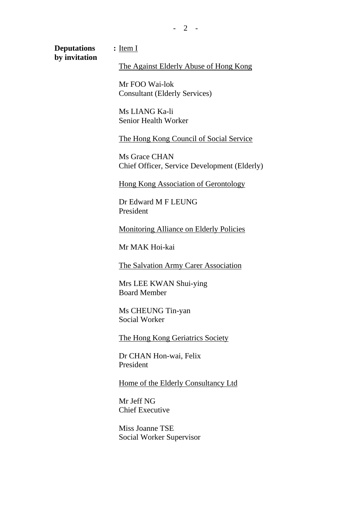**Deputations : by invitation**  : Item I

The Against Elderly Abuse of Hong Kong

Mr FOO Wai-lok Consultant (Elderly Services)

Ms LIANG Ka-li Senior Health Worker

The Hong Kong Council of Social Service

Ms Grace CHAN Chief Officer, Service Development (Elderly)

Hong Kong Association of Gerontology

Dr Edward M F LEUNG President

Monitoring Alliance on Elderly Policies

Mr MAK Hoi-kai

The Salvation Army Carer Association

Mrs LEE KWAN Shui-ying Board Member

Ms CHEUNG Tin-yan Social Worker

The Hong Kong Geriatrics Society

Dr CHAN Hon-wai, Felix President

Home of the Elderly Consultancy Ltd

Mr Jeff NG Chief Executive

Miss Joanne TSE Social Worker Supervisor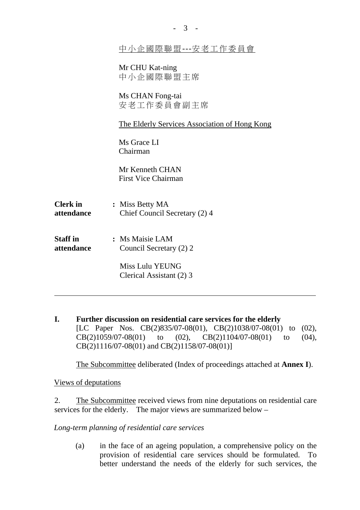|                               | 中小企國際聯盟---安老工作委員會                                |  |  |
|-------------------------------|--------------------------------------------------|--|--|
|                               | Mr CHU Kat-ning<br>中小企國際聯盟主席                     |  |  |
|                               | Ms CHAN Fong-tai<br>安老工作委員會副主席                   |  |  |
|                               | The Elderly Services Association of Hong Kong    |  |  |
|                               | Ms Grace LI<br>Chairman                          |  |  |
|                               | Mr Kenneth CHAN<br><b>First Vice Chairman</b>    |  |  |
| <b>Clerk</b> in<br>attendance | : Miss Betty MA<br>Chief Council Secretary (2) 4 |  |  |
| <b>Staff</b> in<br>attendance | : Ms Maisie LAM<br>Council Secretary (2) 2       |  |  |
|                               | Miss Lulu YEUNG<br>Clerical Assistant (2) 3      |  |  |

- 3 -

**I. Further discussion on residential care services for the elderly** [LC Paper Nos. CB(2)835/07-08(01), CB(2)1038/07-08(01) to (02),  $CB(2)1059/07-08(01)$  to  $(02)$ ,  $CB(2)1104/07-08(01)$  to  $(04)$ , CB(2)1116/07-08(01) and CB(2)1158/07-08(01)]

1. The Subcommittee deliberated (Index of proceedings attached at **Annex I**).

Views of deputations

2. The Subcommittee received views from nine deputations on residential care services for the elderly. The major views are summarized below –

*Long-term planning of residential care services* 

(a) in the face of an ageing population, a comprehensive policy on the provision of residential care services should be formulated. To better understand the needs of the elderly for such services, the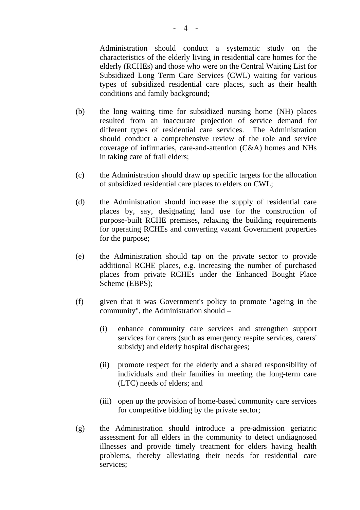Administration should conduct a systematic study on the characteristics of the elderly living in residential care homes for the elderly (RCHEs) and those who were on the Central Waiting List for Subsidized Long Term Care Services (CWL) waiting for various types of subsidized residential care places, such as their health conditions and family background;

- (b) the long waiting time for subsidized nursing home (NH) places resulted from an inaccurate projection of service demand for different types of residential care services. The Administration should conduct a comprehensive review of the role and service coverage of infirmaries, care-and-attention (C&A) homes and NHs in taking care of frail elders;
- (c) the Administration should draw up specific targets for the allocation of subsidized residential care places to elders on CWL;
- (d) the Administration should increase the supply of residential care places by, say, designating land use for the construction of purpose-built RCHE premises, relaxing the building requirements for operating RCHEs and converting vacant Government properties for the purpose;
- (e) the Administration should tap on the private sector to provide additional RCHE places, e.g. increasing the number of purchased places from private RCHEs under the Enhanced Bought Place Scheme (EBPS);
- (f) given that it was Government's policy to promote "ageing in the community", the Administration should –
	- (i) enhance community care services and strengthen support services for carers (such as emergency respite services, carers' subsidy) and elderly hospital dischargees;
	- (ii) promote respect for the elderly and a shared responsibility of individuals and their families in meeting the long-term care (LTC) needs of elders; and
	- (iii) open up the provision of home-based community care services for competitive bidding by the private sector;
- (g) the Administration should introduce a pre-admission geriatric assessment for all elders in the community to detect undiagnosed illnesses and provide timely treatment for elders having health problems, thereby alleviating their needs for residential care services;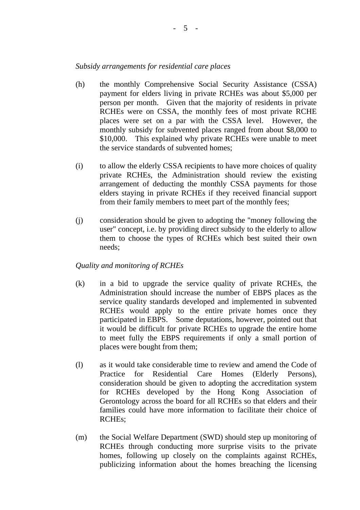# *Subsidy arrangements for residential care places*

- (h) the monthly Comprehensive Social Security Assistance (CSSA) payment for elders living in private RCHEs was about \$5,000 per person per month. Given that the majority of residents in private RCHEs were on CSSA, the monthly fees of most private RCHE places were set on a par with the CSSA level. However, the monthly subsidy for subvented places ranged from about \$8,000 to \$10,000. This explained why private RCHEs were unable to meet the service standards of subvented homes;
- (i) to allow the elderly CSSA recipients to have more choices of quality private RCHEs, the Administration should review the existing arrangement of deducting the monthly CSSA payments for those elders staying in private RCHEs if they received financial support from their family members to meet part of the monthly fees;
- (j) consideration should be given to adopting the "money following the user" concept, i.e. by providing direct subsidy to the elderly to allow them to choose the types of RCHEs which best suited their own needs;

## *Quality and monitoring of RCHEs*

- (k) in a bid to upgrade the service quality of private RCHEs, the Administration should increase the number of EBPS places as the service quality standards developed and implemented in subvented RCHEs would apply to the entire private homes once they participated in EBPS. Some deputations, however, pointed out that it would be difficult for private RCHEs to upgrade the entire home to meet fully the EBPS requirements if only a small portion of places were bought from them;
- (l) as it would take considerable time to review and amend the Code of Practice for Residential Care Homes (Elderly Persons), consideration should be given to adopting the accreditation system for RCHEs developed by the Hong Kong Association of Gerontology across the board for all RCHEs so that elders and their families could have more information to facilitate their choice of RCHEs;
- (m) the Social Welfare Department (SWD) should step up monitoring of RCHEs through conducting more surprise visits to the private homes, following up closely on the complaints against RCHEs, publicizing information about the homes breaching the licensing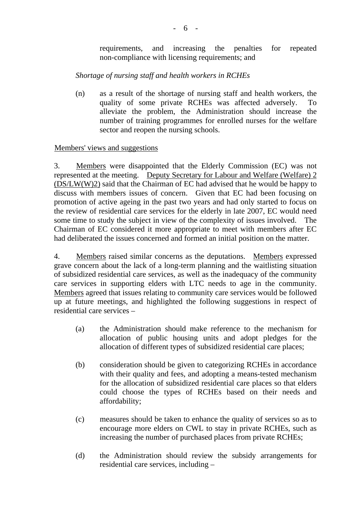requirements, and increasing the penalties for repeated non-compliance with licensing requirements; and

# *Shortage of nursing staff and health workers in RCHEs*

(n) as a result of the shortage of nursing staff and health workers, the quality of some private RCHEs was affected adversely. To alleviate the problem, the Administration should increase the number of training programmes for enrolled nurses for the welfare sector and reopen the nursing schools.

# Members' views and suggestions

3. Members were disappointed that the Elderly Commission (EC) was not represented at the meeting. Deputy Secretary for Labour and Welfare (Welfare) 2 (DS/LW(W)2) said that the Chairman of EC had advised that he would be happy to discuss with members issues of concern. Given that EC had been focusing on promotion of active ageing in the past two years and had only started to focus on the review of residential care services for the elderly in late 2007, EC would need some time to study the subject in view of the complexity of issues involved. The Chairman of EC considered it more appropriate to meet with members after EC had deliberated the issues concerned and formed an initial position on the matter.

4. Members raised similar concerns as the deputations. Members expressed grave concern about the lack of a long-term planning and the waitlisting situation of subsidized residential care services, as well as the inadequacy of the community care services in supporting elders with LTC needs to age in the community. Members agreed that issues relating to community care services would be followed up at future meetings, and highlighted the following suggestions in respect of residential care services –

- (a) the Administration should make reference to the mechanism for allocation of public housing units and adopt pledges for the allocation of different types of subsidized residential care places;
- (b) consideration should be given to categorizing RCHEs in accordance with their quality and fees, and adopting a means-tested mechanism for the allocation of subsidized residential care places so that elders could choose the types of RCHEs based on their needs and affordability;
- (c) measures should be taken to enhance the quality of services so as to encourage more elders on CWL to stay in private RCHEs, such as increasing the number of purchased places from private RCHEs;
- (d) the Administration should review the subsidy arrangements for residential care services, including –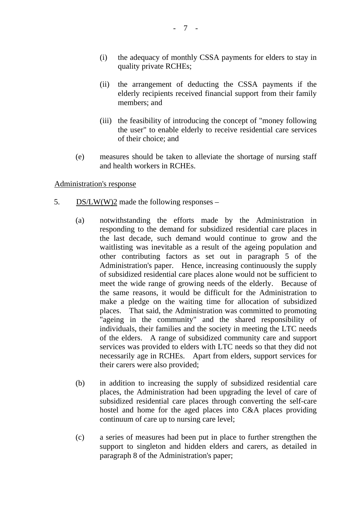- (i) the adequacy of monthly CSSA payments for elders to stay in quality private RCHEs;
- (ii) the arrangement of deducting the CSSA payments if the elderly recipients received financial support from their family members; and
- (iii) the feasibility of introducing the concept of "money following the user" to enable elderly to receive residential care services of their choice; and
- (e) measures should be taken to alleviate the shortage of nursing staff and health workers in RCHEs.

## Administration's response

- 5. DS/LW(W)2 made the following responses
	- (a) notwithstanding the efforts made by the Administration in responding to the demand for subsidized residential care places in the last decade, such demand would continue to grow and the waitlisting was inevitable as a result of the ageing population and other contributing factors as set out in paragraph 5 of the Administration's paper. Hence, increasing continuously the supply of subsidized residential care places alone would not be sufficient to meet the wide range of growing needs of the elderly. Because of the same reasons, it would be difficult for the Administration to make a pledge on the waiting time for allocation of subsidized places. That said, the Administration was committed to promoting "ageing in the community" and the shared responsibility of individuals, their families and the society in meeting the LTC needs of the elders. A range of subsidized community care and support services was provided to elders with LTC needs so that they did not necessarily age in RCHEs. Apart from elders, support services for their carers were also provided;
	- (b) in addition to increasing the supply of subsidized residential care places, the Administration had been upgrading the level of care of subsidized residential care places through converting the self-care hostel and home for the aged places into C&A places providing continuum of care up to nursing care level;
	- (c) a series of measures had been put in place to further strengthen the support to singleton and hidden elders and carers, as detailed in paragraph 8 of the Administration's paper;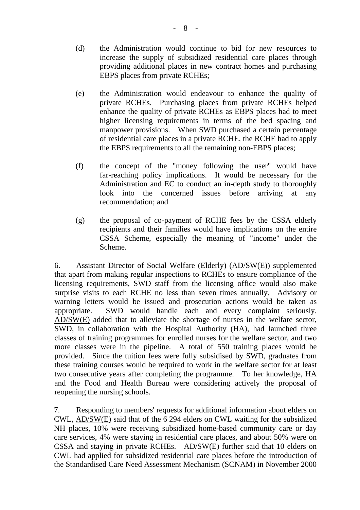- (d) the Administration would continue to bid for new resources to increase the supply of subsidized residential care places through providing additional places in new contract homes and purchasing EBPS places from private RCHEs;
- (e) the Administration would endeavour to enhance the quality of private RCHEs. Purchasing places from private RCHEs helped enhance the quality of private RCHEs as EBPS places had to meet higher licensing requirements in terms of the bed spacing and manpower provisions. When SWD purchased a certain percentage of residential care places in a private RCHE, the RCHE had to apply the EBPS requirements to all the remaining non-EBPS places;
- (f) the concept of the "money following the user" would have far-reaching policy implications. It would be necessary for the Administration and EC to conduct an in-depth study to thoroughly look into the concerned issues before arriving at any recommendation; and
- (g) the proposal of co-payment of RCHE fees by the CSSA elderly recipients and their families would have implications on the entire CSSA Scheme, especially the meaning of "income" under the Scheme.

6. Assistant Director of Social Welfare (Elderly) (AD/SW(E)) supplemented that apart from making regular inspections to RCHEs to ensure compliance of the licensing requirements, SWD staff from the licensing office would also make surprise visits to each RCHE no less than seven times annually. Advisory or warning letters would be issued and prosecution actions would be taken as appropriate. SWD would handle each and every complaint seriously. AD/SW(E) added that to alleviate the shortage of nurses in the welfare sector, SWD, in collaboration with the Hospital Authority (HA), had launched three classes of training programmes for enrolled nurses for the welfare sector, and two more classes were in the pipeline. A total of 550 training places would be provided. Since the tuition fees were fully subsidised by SWD, graduates from these training courses would be required to work in the welfare sector for at least two consecutive years after completing the programme. To her knowledge, HA and the Food and Health Bureau were considering actively the proposal of reopening the nursing schools.

7. Responding to members' requests for additional information about elders on CWL, AD/SW(E) said that of the 6,294 elders on CWL waiting for the subsidized NH places, 10% were receiving subsidized home-based community care or day care services, 4% were staying in residential care places, and about 50% were on CSSA and staying in private RCHEs. AD/SW(E) further said that 10 elders on CWL had applied for subsidized residential care places before the introduction of the Standardised Care Need Assessment Mechanism (SCNAM) in November 2000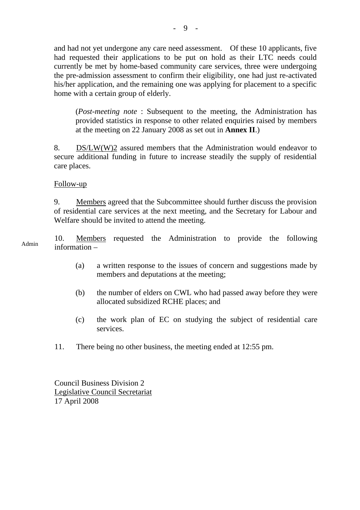and had not yet undergone any care need assessment. Of these 10 applicants, five had requested their applications to be put on hold as their LTC needs could currently be met by home-based community care services, three were undergoing the pre-admission assessment to confirm their eligibility, one had just re-activated his/her application, and the remaining one was applying for placement to a specific home with a certain group of elderly.

(*Post-meeting note* : Subsequent to the meeting, the Administration has provided statistics in response to other related enquiries raised by members at the meeting on 22 January 2008 as set out in **Annex II**.)

8. DS/LW(W)2 assured members that the Administration would endeavor to secure additional funding in future to increase steadily the supply of residential care places.

## Follow-up

9. Members agreed that the Subcommittee should further discuss the provision of residential care services at the next meeting, and the Secretary for Labour and Welfare should be invited to attend the meeting.

Admin 10. Members requested the Administration to provide the following information –

- (a) a written response to the issues of concern and suggestions made by members and deputations at the meeting;
- (b) the number of elders on CWL who had passed away before they were allocated subsidized RCHE places; and
- (c) the work plan of EC on studying the subject of residential care services.
- 11. There being no other business, the meeting ended at 12:55 pm.

Council Business Division 2 Legislative Council Secretariat 17 April 2008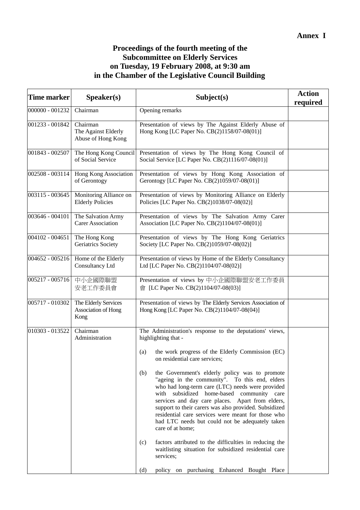# **Proceedings of the fourth meeting of the Subcommittee on Elderly Services on Tuesday, 19 February 2008, at 9:30 am in the Chamber of the Legislative Council Building**

| Time marker       | Speaker(s)                                            | Subject(s)                                                                                                                                                                                                                                                                                                                                                                                                                                         | <b>Action</b><br>required |
|-------------------|-------------------------------------------------------|----------------------------------------------------------------------------------------------------------------------------------------------------------------------------------------------------------------------------------------------------------------------------------------------------------------------------------------------------------------------------------------------------------------------------------------------------|---------------------------|
| 000000 - 001232   | Chairman                                              | Opening remarks                                                                                                                                                                                                                                                                                                                                                                                                                                    |                           |
| 001233 - 001842   | Chairman<br>The Against Elderly<br>Abuse of Hong Kong | Presentation of views by The Against Elderly Abuse of<br>Hong Kong [LC Paper No. CB(2)1158/07-08(01)]                                                                                                                                                                                                                                                                                                                                              |                           |
| 001843 - 002507   | The Hong Kong Council<br>of Social Service            | Presentation of views by The Hong Kong Council of<br>Social Service [LC Paper No. CB(2)1116/07-08(01)]                                                                                                                                                                                                                                                                                                                                             |                           |
| 002508 - 003114   | Hong Kong Association<br>of Gerontogy                 | Presentation of views by Hong Kong Association of<br>Gerontogy [LC Paper No. CB(2)1059/07-08(01)]                                                                                                                                                                                                                                                                                                                                                  |                           |
| 003115 - 003645   | Monitoring Alliance on<br><b>Elderly Policies</b>     | Presentation of views by Monitoring Alliance on Elderly<br>Policies [LC Paper No. CB(2)1038/07-08(02)]                                                                                                                                                                                                                                                                                                                                             |                           |
| $003646 - 004101$ | The Salvation Army<br>Carer Association               | Presentation of views by The Salvation Army Carer<br>Association [LC Paper No. CB(2)1104/07-08(01)]                                                                                                                                                                                                                                                                                                                                                |                           |
| 004102 - 004651   | The Hong Kong<br>Geriatrics Society                   | Presentation of views by The Hong Kong Geriatrics<br>Society [LC Paper No. CB(2)1059/07-08(02)]                                                                                                                                                                                                                                                                                                                                                    |                           |
| 004652 - 005216   | Home of the Elderly<br>Consultancy Ltd                | Presentation of views by Home of the Elderly Consultancy<br>Ltd [LC Paper No. CB(2)1104/07-08(02)]                                                                                                                                                                                                                                                                                                                                                 |                           |
| 005217 - 005716   | 中小企國際聯盟<br>安老工作委員會                                    | Presentation of views by 中小企國際聯盟安老工作委員<br>會 [LC Paper No. CB(2)1104/07-08(03)]                                                                                                                                                                                                                                                                                                                                                                     |                           |
| 005717 - 010302   | The Elderly Services<br>Association of Hong<br>Kong   | Presentation of views by The Elderly Services Association of<br>Hong Kong [LC Paper No. CB(2)1104/07-08(04)]                                                                                                                                                                                                                                                                                                                                       |                           |
| 010303 - 013522   | Chairman<br>Administration                            | The Administration's response to the deputations' views,<br>highlighting that -                                                                                                                                                                                                                                                                                                                                                                    |                           |
|                   |                                                       | the work progress of the Elderly Commission (EC)<br>(a)<br>on residential care services;                                                                                                                                                                                                                                                                                                                                                           |                           |
|                   |                                                       | the Government's elderly policy was to promote<br>(b)<br>"ageing in the community". To this end, elders<br>who had long-term care (LTC) needs were provided<br>with subsidized home-based community care<br>services and day care places. Apart from elders,<br>support to their carers was also provided. Subsidized<br>residential care services were meant for those who<br>had LTC needs but could not be adequately taken<br>care of at home; |                           |
|                   |                                                       | factors attributed to the difficulties in reducing the<br>(c)<br>waitlisting situation for subsidized residential care<br>services;                                                                                                                                                                                                                                                                                                                |                           |
|                   |                                                       | (d)<br>policy on purchasing Enhanced Bought Place                                                                                                                                                                                                                                                                                                                                                                                                  |                           |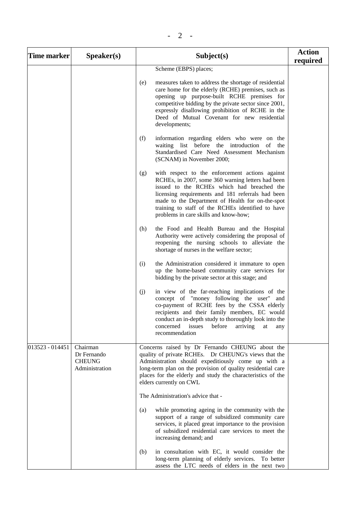| <b>Time marker</b> | S <b>peaker(s)</b>                                         | Subject(s)                                                                                                                                                                                                                                                                                                                                                       | <b>Action</b><br>required |
|--------------------|------------------------------------------------------------|------------------------------------------------------------------------------------------------------------------------------------------------------------------------------------------------------------------------------------------------------------------------------------------------------------------------------------------------------------------|---------------------------|
|                    |                                                            | Scheme (EBPS) places;                                                                                                                                                                                                                                                                                                                                            |                           |
|                    |                                                            | measures taken to address the shortage of residential<br>(e)<br>care home for the elderly (RCHE) premises, such as<br>opening up purpose-built RCHE premises for<br>competitive bidding by the private sector since 2001,<br>expressly disallowing prohibition of RCHE in the<br>Deed of Mutual Covenant for new residential<br>developments;                    |                           |
|                    |                                                            | (f)<br>information regarding elders who were on the<br>waiting list before the introduction of<br>the<br>Standardised Care Need Assessment Mechanism<br>(SCNAM) in November 2000;                                                                                                                                                                                |                           |
|                    |                                                            | with respect to the enforcement actions against<br>(g)<br>RCHEs, in 2007, some 360 warning letters had been<br>issued to the RCHEs which had breached the<br>licensing requirements and 181 referrals had been<br>made to the Department of Health for on-the-spot<br>training to staff of the RCHEs identified to have<br>problems in care skills and know-how; |                           |
|                    |                                                            | the Food and Health Bureau and the Hospital<br>(h)<br>Authority were actively considering the proposal of<br>reopening the nursing schools to alleviate the<br>shortage of nurses in the welfare sector;                                                                                                                                                         |                           |
|                    |                                                            | the Administration considered it immature to open<br>(i)<br>up the home-based community care services for<br>bidding by the private sector at this stage; and                                                                                                                                                                                                    |                           |
|                    |                                                            | in view of the far-reaching implications of the<br>(j)<br>concept of "money following the user" and<br>co-payment of RCHE fees by the CSSA elderly<br>recipients and their family members, EC would<br>conduct an in-depth study to thoroughly look into the<br>issues<br>before<br>arriving<br>concerned<br>at<br>any<br>recommendation                         |                           |
| 013523 - 014451    | Chairman<br>Dr Fernando<br><b>CHEUNG</b><br>Administration | Concerns raised by Dr Fernando CHEUNG about the<br>quality of private RCHEs. Dr CHEUNG's views that the<br>Administration should expeditiously come up with a<br>long-term plan on the provision of quality residential care<br>places for the elderly and study the characteristics of the<br>elders currently on CWL                                           |                           |
|                    |                                                            | The Administration's advice that -                                                                                                                                                                                                                                                                                                                               |                           |
|                    |                                                            | while promoting ageing in the community with the<br>(a)<br>support of a range of subsidized community care<br>services, it placed great importance to the provision<br>of subsidized residential care services to meet the<br>increasing demand; and                                                                                                             |                           |
|                    |                                                            | in consultation with EC, it would consider the<br>(b)<br>long-term planning of elderly services. To better<br>assess the LTC needs of elders in the next two                                                                                                                                                                                                     |                           |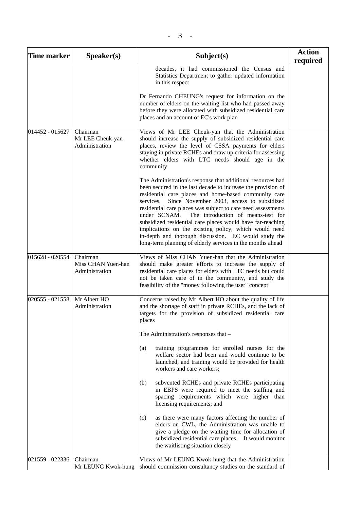| Time marker     | Speaker(s)                                       | Subject(s)                                                                                                                                                                                                                                                                                                                                                                                                                                                                                                                                                                                                        | <b>Action</b><br>required |
|-----------------|--------------------------------------------------|-------------------------------------------------------------------------------------------------------------------------------------------------------------------------------------------------------------------------------------------------------------------------------------------------------------------------------------------------------------------------------------------------------------------------------------------------------------------------------------------------------------------------------------------------------------------------------------------------------------------|---------------------------|
|                 |                                                  | decades, it had commissioned the Census and<br>Statistics Department to gather updated information<br>in this respect                                                                                                                                                                                                                                                                                                                                                                                                                                                                                             |                           |
|                 |                                                  | Dr Fernando CHEUNG's request for information on the<br>number of elders on the waiting list who had passed away<br>before they were allocated with subsidized residential care<br>places and an account of EC's work plan                                                                                                                                                                                                                                                                                                                                                                                         |                           |
| 014452 - 015627 | Chairman<br>Mr LEE Cheuk-yan<br>Administration   | Views of Mr LEE Cheuk-yan that the Administration<br>should increase the supply of subsidized residential care<br>places, review the level of CSSA payments for elders<br>staying in private RCHEs and draw up criteria for assessing<br>whether elders with LTC needs should age in the<br>community                                                                                                                                                                                                                                                                                                             |                           |
|                 |                                                  | The Administration's response that additional resources had<br>been secured in the last decade to increase the provision of<br>residential care places and home-based community care<br>Since November 2003, access to subsidized<br>services.<br>residential care places was subject to care need assessments<br>under SCNAM.<br>The introduction of means-test for<br>subsidized residential care places would have far-reaching<br>implications on the existing policy, which would need<br>in-depth and thorough discussion. EC would study the<br>long-term planning of elderly services in the months ahead |                           |
| 015628 - 020554 | Chairman<br>Miss CHAN Yuen-han<br>Administration | Views of Miss CHAN Yuen-han that the Administration<br>should make greater efforts to increase the supply of<br>residential care places for elders with LTC needs but could<br>not be taken care of in the community, and study the<br>feasibility of the "money following the user" concept                                                                                                                                                                                                                                                                                                                      |                           |
| 020555 - 021558 | Mr Albert HO<br>Administration                   | Concerns raised by Mr Albert HO about the quality of life<br>and the shortage of staff in private RCHEs, and the lack of<br>targets for the provision of subsidized residential care<br>places                                                                                                                                                                                                                                                                                                                                                                                                                    |                           |
|                 |                                                  | The Administration's responses that -                                                                                                                                                                                                                                                                                                                                                                                                                                                                                                                                                                             |                           |
|                 |                                                  | training programmes for enrolled nurses for the<br>(a)<br>welfare sector had been and would continue to be<br>launched, and training would be provided for health<br>workers and care workers;                                                                                                                                                                                                                                                                                                                                                                                                                    |                           |
|                 |                                                  | subvented RCHEs and private RCHEs participating<br>(b)<br>in EBPS were required to meet the staffing and<br>spacing requirements which were higher than<br>licensing requirements; and                                                                                                                                                                                                                                                                                                                                                                                                                            |                           |
|                 |                                                  | as there were many factors affecting the number of<br>(c)<br>elders on CWL, the Administration was unable to<br>give a pledge on the waiting time for allocation of<br>subsidized residential care places. It would monitor<br>the waitlisting situation closely                                                                                                                                                                                                                                                                                                                                                  |                           |
| 021559 - 022336 | Chairman<br>Mr LEUNG Kwok-hung                   | Views of Mr LEUNG Kwok-hung that the Administration<br>should commission consultancy studies on the standard of                                                                                                                                                                                                                                                                                                                                                                                                                                                                                                   |                           |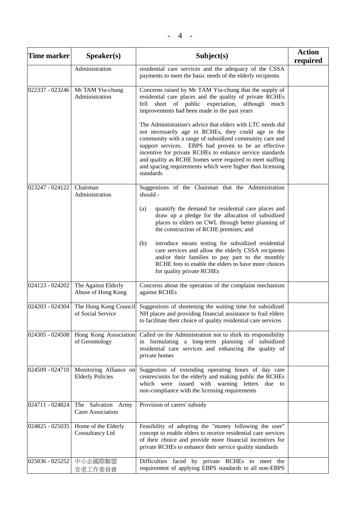| Time marker     | Speaker(s)                                        | Subject(s)                                                                                                                                                                                                                                                                                                                                                                                                                             | <b>Action</b><br>required |
|-----------------|---------------------------------------------------|----------------------------------------------------------------------------------------------------------------------------------------------------------------------------------------------------------------------------------------------------------------------------------------------------------------------------------------------------------------------------------------------------------------------------------------|---------------------------|
|                 | Administration                                    | residential care services and the adequacy of the CSSA<br>payments to meet the basic needs of the elderly recipients                                                                                                                                                                                                                                                                                                                   |                           |
| 022337 - 023246 | Mr TAM Yiu-chung<br>Administration                | Concerns raised by Mr TAM Yiu-chung that the supply of<br>residential care places and the quality of private RCHEs<br>fell short of public expectation, although<br>much<br>improvements had been made in the past years                                                                                                                                                                                                               |                           |
|                 |                                                   | The Administration's advice that elders with LTC needs did<br>not necessarily age in RCHEs, they could age in the<br>community with a range of subsidized community care and<br>support services. EBPS had proven to be an effective<br>incentive for private RCHEs to enhance service standards<br>and quality as RCHE homes were required to meet staffing<br>and spacing requirements which were higher than licensing<br>standards |                           |
| 023247 - 024122 | Chairman<br>Administration                        | Suggestions of the Chairman that the Administration<br>should -                                                                                                                                                                                                                                                                                                                                                                        |                           |
|                 |                                                   | quantify the demand for residential care places and<br>(a)<br>draw up a pledge for the allocation of subsidized<br>places to elders on CWL through better planning of<br>the construction of RCHE premises; and                                                                                                                                                                                                                        |                           |
|                 |                                                   | introduce means testing for subsidized residential<br>(b)<br>care services and allow the elderly CSSA recipients<br>and/or their families to pay part to the monthly<br>RCHE fees to enable the elders to have more choices<br>for quality private RCHEs                                                                                                                                                                               |                           |
| 024123 - 024202 | The Against Elderly<br>Abuse of Hong Kong         | Concerns about the operation of the complaint mechanism<br>against RCHEs                                                                                                                                                                                                                                                                                                                                                               |                           |
| 024203 - 024304 | The Hong Kong Council<br>of Social Service        | Suggestions of shortening the waiting time for subsidized<br>NH places and providing financial assistance to frail elders<br>to facilitate their choice of quality residential care services                                                                                                                                                                                                                                           |                           |
| 024305 - 024508 | Hong Kong Association<br>of Gerontology           | Called on the Administration not to shirk its responsibility<br>in formulating a long-term planning of subsidized<br>residential care services and enhancing the quality of<br>private homes                                                                                                                                                                                                                                           |                           |
| 024509 - 024710 | Monitoring Alliance on<br><b>Elderly Policies</b> | Suggestion of extending operating hours of day care<br>centres/units for the elderly and making public the RCHEs<br>which were issued with warning letters due to<br>non-compliance with the licensing requirements                                                                                                                                                                                                                    |                           |
| 024711 - 024824 | The Salvation Army<br><b>Carer Association</b>    | Provision of carers' subsidy                                                                                                                                                                                                                                                                                                                                                                                                           |                           |
| 024825 - 025035 | Home of the Elderly<br>Consultancy Ltd            | Feasibility of adopting the "money following the user"<br>concept to enable elders to receive residential care services<br>of their choice and provide more financial incentives for<br>private RCHEs to enhance their service quality standards                                                                                                                                                                                       |                           |
| 025036 - 025252 | 中小企國際聯盟<br>安老工作委員會                                | Difficulties faced by private RCHEs to meet the<br>requirement of applying EBPS standards to all non-EBPS                                                                                                                                                                                                                                                                                                                              |                           |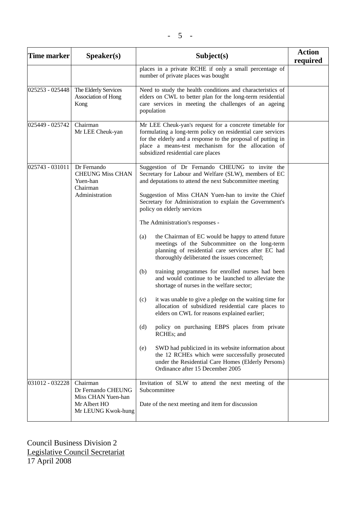| <b>Time marker</b> | Speaker(s)                                                                                 | Subject(s)                                                                                                                                                                                                                                                                                                           | <b>Action</b><br>required |
|--------------------|--------------------------------------------------------------------------------------------|----------------------------------------------------------------------------------------------------------------------------------------------------------------------------------------------------------------------------------------------------------------------------------------------------------------------|---------------------------|
|                    |                                                                                            | places in a private RCHE if only a small percentage of<br>number of private places was bought                                                                                                                                                                                                                        |                           |
| 025253 - 025448    | The Elderly Services<br>Association of Hong<br>Kong                                        | Need to study the health conditions and characteristics of<br>elders on CWL to better plan for the long-term residential<br>care services in meeting the challenges of an ageing<br>population                                                                                                                       |                           |
| 025449 - 025742    | Chairman<br>Mr LEE Cheuk-yan                                                               | Mr LEE Cheuk-yan's request for a concrete timetable for<br>formulating a long-term policy on residential care services<br>for the elderly and a response to the proposal of putting in<br>place a means-test mechanism for the allocation of<br>subsidized residential care places                                   |                           |
| 025743 - 031011    | Dr Fernando<br><b>CHEUNG Miss CHAN</b><br>Yuen-han<br>Chairman<br>Administration           | Suggestion of Dr Fernando CHEUNG to invite the<br>Secretary for Labour and Welfare (SLW), members of EC<br>and deputations to attend the next Subcommittee meeting<br>Suggestion of Miss CHAN Yuen-han to invite the Chief<br>Secretary for Administration to explain the Government's<br>policy on elderly services |                           |
|                    |                                                                                            | The Administration's responses -                                                                                                                                                                                                                                                                                     |                           |
|                    |                                                                                            | the Chairman of EC would be happy to attend future<br>(a)<br>meetings of the Subcommittee on the long-term<br>planning of residential care services after EC had<br>thoroughly deliberated the issues concerned;                                                                                                     |                           |
|                    |                                                                                            | training programmes for enrolled nurses had been<br>(b)<br>and would continue to be launched to alleviate the<br>shortage of nurses in the welfare sector;                                                                                                                                                           |                           |
|                    |                                                                                            | it was unable to give a pledge on the waiting time for<br>(c)<br>allocation of subsidized residential care places to<br>elders on CWL for reasons explained earlier;                                                                                                                                                 |                           |
|                    |                                                                                            | policy on purchasing EBPS places from private<br>(d)<br>RCHEs; and                                                                                                                                                                                                                                                   |                           |
|                    |                                                                                            | SWD had publicized in its website information about<br>(e)<br>the 12 RCHEs which were successfully prosecuted<br>under the Residential Care Homes (Elderly Persons)<br>Ordinance after 15 December 2005                                                                                                              |                           |
| 031012 - 032228    | Chairman<br>Dr Fernando CHEUNG<br>Miss CHAN Yuen-han<br>Mr Albert HO<br>Mr LEUNG Kwok-hung | Invitation of SLW to attend the next meeting of the<br>Subcommittee<br>Date of the next meeting and item for discussion                                                                                                                                                                                              |                           |

Council Business Division 2 Legislative Council Secretariat 17 April 2008